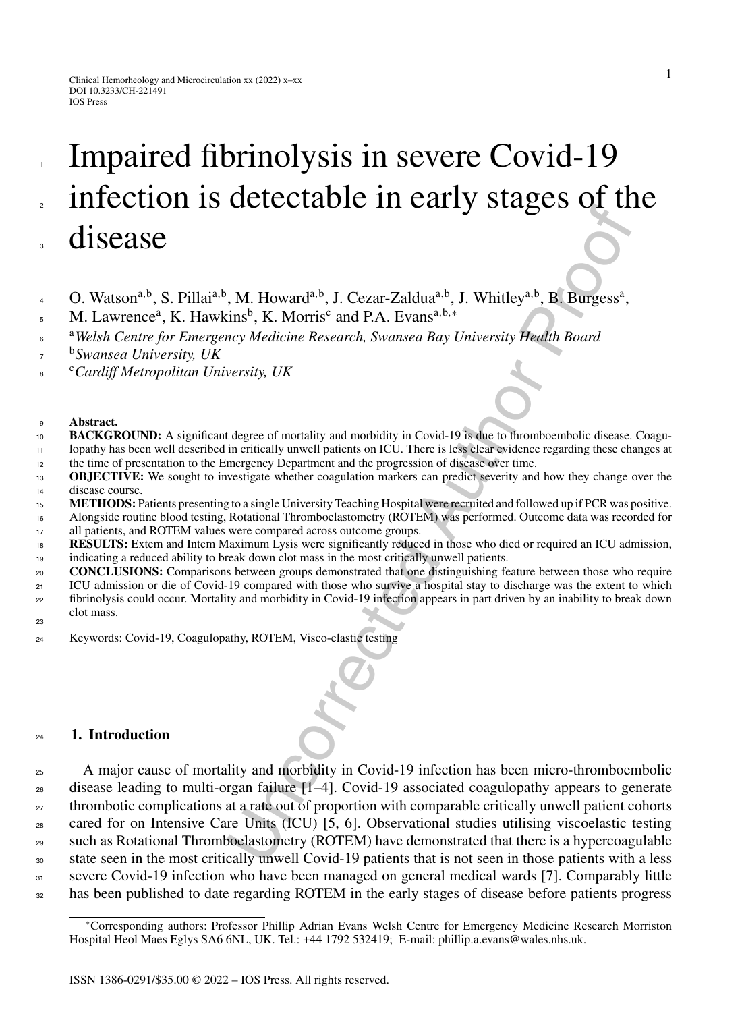# Impaired fibrinolysis in severe Covid-19 infection is detectable in early stages of the disease

- O. Watsona*,*b, S. Pillaia*,*b, M. Howarda*,*b, J. Cezar-Zalduaa*,*b, J. Whitleya*,*b, B. Burgessa ,
- M. Lawrence<sup>a</sup>, K. Hawkins<sup>b</sup>, K. Morris<sup>c</sup> and P.A. Evans<sup>a,b,\*</sup>
- <sup>a</sup>*Welsh Centre for Emergency Medicine Research, Swansea Bay University Health Board*
- <sup>b</sup> *Swansea University, UK*
- <sup>c</sup> *Cardiff Metropolitan University, UK*

#### **Abstract.**

- **BACKGROUND:** A significant degree of mortality and morbidity in Covid-19 is due to thromboembolic disease. Coagu- lopathy has been well described in critically unwell patients on ICU. There is less clear evidence regarding these changes at the time of presentation to the Emergency Department and the progression of disease over time.
- **OBJECTIVE:** We sought to investigate whether coagulation markers can predict severity and how they change over the disease course.
- **METHODS:** Patients presenting to a single University Teaching Hospital were recruited and followed up if PCR was positive.
- Alongside routine blood testing, Rotational Thromboelastometry (ROTEM) was performed. Outcome data was recorded for 17 all patients, and ROTEM values were compared across outcome groups.
- **RESULTS:** Extem and Intem Maximum Lysis were significantly reduced in those who died or required an ICU admission, indicating a reduced ability to break down clot mass in the most critically unwell patients.
- **CONCLUSIONS:** Comparisons between groups demonstrated that one distinguishing feature between those who require
- <sup>21</sup> ICU admission or die of Covid-19 compared with those who survive a hospital stay to discharge was the extent to which fibrinolysis could occur. Mortality and morbidity in Covid-19 infection appears in part driven by an inability to break down clot mass.
- 
- Keywords: Covid-19, Coagulopathy, ROTEM, Visco-elastic testing

## **1. Introduction**

**The CONFIDENTIFY CONTROLL CONTROLL CONTROLL CONTROLL CONTROLL CONTROLL CONTROLL CONTROLL CONTROLL CONTROLL CONTROLL CONTROLL CONTROLL CONTROLL CONTROLL CONTROLL CONTROLL CONTROLL CONTROLL CONTROLL CONTROLL CONTROLL CONTR** <sup>25</sup> A major cause of mortality and morbidity in Covid-19 infection has been micro-thromboembolic disease leading to multi-organ failure [1–4]. Covid-19 associated coagulopathy appears to generate <sup>27</sup> thrombotic complications at a rate out of proportion with comparable critically unwell patient cohorts cared for on Intensive Care Units (ICU) [5, 6]. Observational studies utilising viscoelastic testing such as Rotational Thromboelastometry (ROTEM) have demonstrated that there is a hypercoagulable state seen in the most critically unwell Covid-19 patients that is not seen in those patients with a less severe Covid-19 infection who have been managed on general medical wards [7]. Comparably little <sub>32</sub> has been published to date regarding ROTEM in the early stages of disease before patients progress

<sup>∗</sup>Corresponding authors: Professor Phillip Adrian Evans Welsh Centre for Emergency Medicine Research Morriston Hospital Heol Maes Eglys SA6 6NL, UK. Tel.: +44 1792 532419; E-mail: [phillip.a.evans@wales.nhs.uk](mailto:phillip.a.evans@wales.nhs.uk).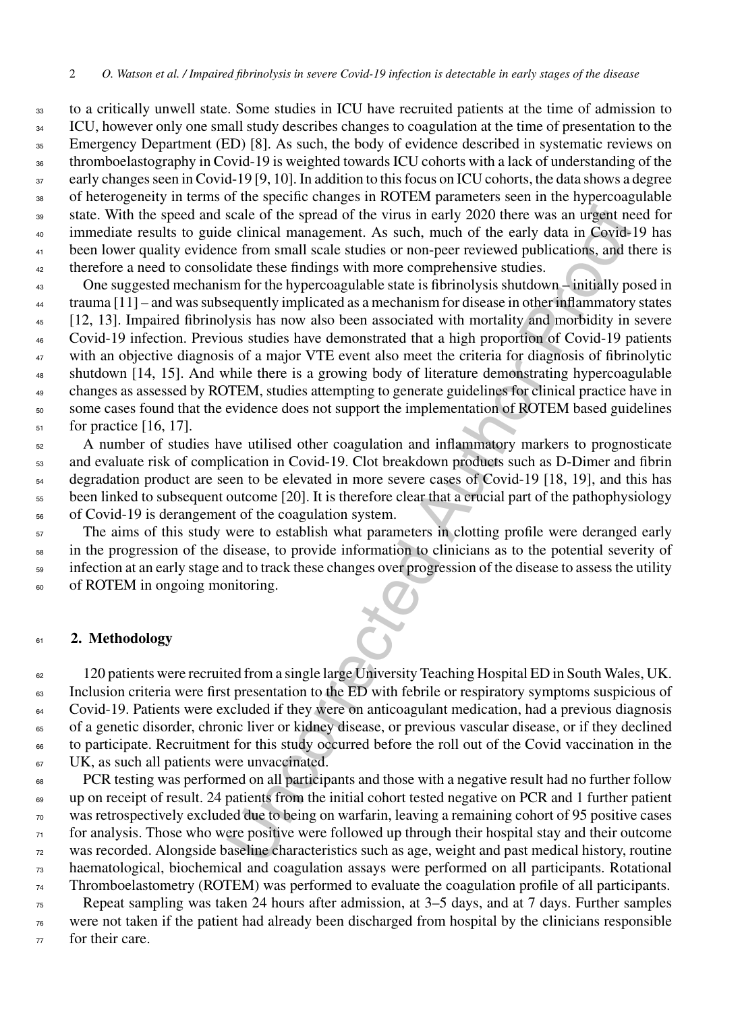to a critically unwell state. Some studies in ICU have recruited patients at the time of admission to <sup>34</sup> ICU, however only one small study describes changes to coagulation at the time of presentation to the <sup>35</sup> Emergency Department (ED) [8]. As such, the body of evidence described in systematic reviews on thromboelastography in Covid-19 is weighted towards ICU cohorts with a lack of understanding of the <sup>37</sup> early changes seen in Covid-19 [9, 10]. In addition to this focus on ICU cohorts, the data shows a degree <sup>38</sup> of heterogeneity in terms of the specific changes in ROTEM parameters seen in the hypercoagulable state. With the speed and scale of the spread of the virus in early 2020 there was an urgent need for immediate results to guide clinical management. As such, much of the early data in Covid-19 has <sup>41</sup> been lower quality evidence from small scale studies or non-peer reviewed publications, and there is therefore a need to consolidate these findings with more comprehensive studies.

scale of the spread of the virus in early 2020 there was an urgent ne<br>e clinical management. As such, much of the early data in Covid-<br>e e from small scale studies or non-peer reviewed publications, and the<br>didate these fi One suggested mechanism for the hypercoagulable state is fibrinolysis shutdown – initially posed in trauma [11] – and was subsequently implicated as a mechanism for disease in other inflammatory states [12, 13]. Impaired fibrinolysis has now also been associated with mortality and morbidity in severe Covid-19 infection. Previous studies have demonstrated that a high proportion of Covid-19 patients <sup>47</sup> with an objective diagnosis of a major VTE event also meet the criteria for diagnosis of fibrinolytic shutdown [14, 15]. And while there is a growing body of literature demonstrating hypercoagulable changes as assessed by ROTEM, studies attempting to generate guidelines for clinical practice have in 50 some cases found that the evidence does not support the implementation of ROTEM based guidelines for practice [16, 17].

<sup>52</sup> A number of studies have utilised other coagulation and inflammatory markers to prognosticate and evaluate risk of complication in Covid-19. Clot breakdown products such as D-Dimer and fibrin degradation product are seen to be elevated in more severe cases of Covid-19 [18, 19], and this has been linked to subsequent outcome [20]. It is therefore clear that a crucial part of the pathophysiology of Covid-19 is derangement of the coagulation system.

 The aims of this study were to establish what parameters in clotting profile were deranged early in the progression of the disease, to provide information to clinicians as to the potential severity of Infection at an early stage and to track these changes over progression of the disease to assess the utility<br>of ROTEM in ongoing monitoring.<br>2. Methodology of ROTEM in ongoing monitoring.

## **2. Methodology**

<sup>62</sup> 120 patients were recruited from a single large University Teaching Hospital ED in South Wales, UK. <sup>63</sup> Inclusion criteria were first presentation to the ED with febrile or respiratory symptoms suspicious of Covid-19. Patients were excluded if they were on anticoagulant medication, had a previous diagnosis of a genetic disorder, chronic liver or kidney disease, or previous vascular disease, or if they declined to participate. Recruitment for this study occurred before the roll out of the Covid vaccination in the <sup>67</sup> UK, as such all patients were unvaccinated.

 PCR testing was performed on all participants and those with a negative result had no further follow up on receipt of result. 24 patients from the initial cohort tested negative on PCR and 1 further patient was retrospectively excluded due to being on warfarin, leaving a remaining cohort of 95 positive cases for analysis. Those who were positive were followed up through their hospital stay and their outcome was recorded. Alongside baseline characteristics such as age, weight and past medical history, routine haematological, biochemical and coagulation assays were performed on all participants. Rotational Thromboelastometry (ROTEM) was performed to evaluate the coagulation profile of all participants. Repeat sampling was taken 24 hours after admission, at 3–5 days, and at 7 days. Further samples were not taken if the patient had already been discharged from hospital by the clinicians responsible

for their care.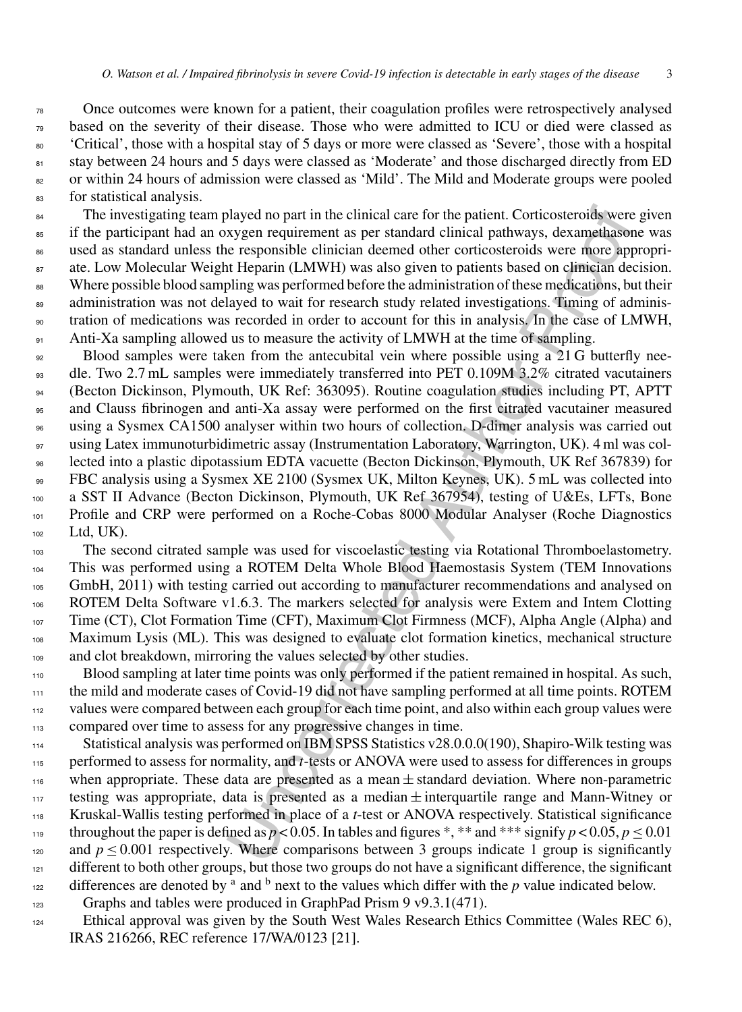Once outcomes were known for a patient, their coagulation profiles were retrospectively analysed based on the severity of their disease. Those who were admitted to ICU or died were classed as 'Critical', those with a hospital stay of 5 days or more were classed as 'Severe', those with a hospital 81 stay between 24 hours and 5 days were classed as 'Moderate' and those discharged directly from ED <sup>82</sup> or within 24 hours of admission were classed as 'Mild'. The Mild and Moderate groups were pooled for statistical analysis.

<sup>84</sup> The investigating team played no part in the clinical care for the patient. Corticosteroids were given if the participant had an oxygen requirement as per standard clinical pathways, dexamethasone was used as standard unless the responsible clinician deemed other corticosteroids were more appropri-<sup>87</sup> ate. Low Molecular Weight Heparin (LMWH) was also given to patients based on clinician decision. 88 Where possible blood sampling was performed before the administration of these medications, but their 89 administration was not delayed to wait for research study related investigations. Timing of adminis- tration of medications was recorded in order to account for this in analysis. In the case of LMWH, Anti-Xa sampling allowed us to measure the activity of LMWH at the time of sampling.

blayed no part in the clinical care for the patient. Corticosteroids were represent rations per standard clinical partway, dexametilasion representing the Heparin (LMWH) was also given to patients based on clinical advapab <sup>92</sup> Blood samples were taken from the antecubital vein where possible using a 21 G butterfly nee- dle. Two 2.7 mL samples were immediately transferred into PET 0.109M 3.2% citrated vacutainers (Becton Dickinson, Plymouth, UK Ref: 363095). Routine coagulation studies including PT, APTT and Clauss fibrinogen and anti-Xa assay were performed on the first citrated vacutainer measured using a Sysmex CA1500 analyser within two hours of collection. D-dimer analysis was carried out using Latex immunoturbidimetric assay (Instrumentation Laboratory, Warrington, UK). 4 ml was col- lected into a plastic dipotassium EDTA vacuette (Becton Dickinson, Plymouth, UK Ref 367839) for FBC analysis using a Sysmex XE 2100 (Sysmex UK, Milton Keynes, UK). 5 mL was collected into a SST II Advance (Becton Dickinson, Plymouth, UK Ref 367954), testing of U&Es, LFTs, Bone Profile and CRP were performed on a Roche-Cobas 8000 Modular Analyser (Roche Diagnostics Ltd, UK).

 The second citrated sample was used for viscoelastic testing via Rotational Thromboelastometry. This was performed using a ROTEM Delta Whole Blood Haemostasis System (TEM Innovations GmbH, 2011) with testing carried out according to manufacturer recommendations and analysed on ROTEM Delta Software v1.6.3. The markers selected for analysis were Extem and Intem Clotting Time (CT), Clot Formation Time (CFT), Maximum Clot Firmness (MCF), Alpha Angle (Alpha) and Maximum Lysis (ML). This was designed to evaluate clot formation kinetics, mechanical structure 109 and clot breakdown, mirroring the values selected by other studies.

 Blood sampling at later time points was only performed if the patient remained in hospital. As such, the mild and moderate cases of Covid-19 did not have sampling performed at all time points. ROTEM values were compared between each group for each time point, and also within each group values were compared over time to assess for any progressive changes in time.

 Statistical analysis was performed on IBM SPSS Statistics v28.0.0.0(190), Shapiro-Wilk testing was performed to assess for normality, and *t*-tests or ANOVA were used to assess for differences in groups <sup>116</sup> when appropriate. These data are presented as a mean  $\pm$  standard deviation. Where non-parametric 117 testing was appropriate, data is presented as a median  $\pm$  interquartile range and Mann-Witney or Kruskal-Wallis testing performed in place of a *t*-test or ANOVA respectively. Statistical significance throughout the paper is defined as  $p < 0.05$ . In tables and figures \*, \*\* and \*\*\* signify  $p < 0.05$ ,  $p \le 0.01$ 120 and  $p \le 0.001$  respectively. Where comparisons between 3 groups indicate 1 group is significantly <sup>121</sup> different to both other groups, but those two groups do not have a significant difference, the significant differences are denoted by <sup>a</sup> and <sup>b</sup> next to the values which differ with the *p* value indicated below. Graphs and tables were produced in GraphPad Prism 9 v9.3.1(471).

- Ethical approval was given by the South West Wales Research Ethics Committee (Wales REC 6),
	- IRAS 216266, REC reference 17/WA/0123 [21].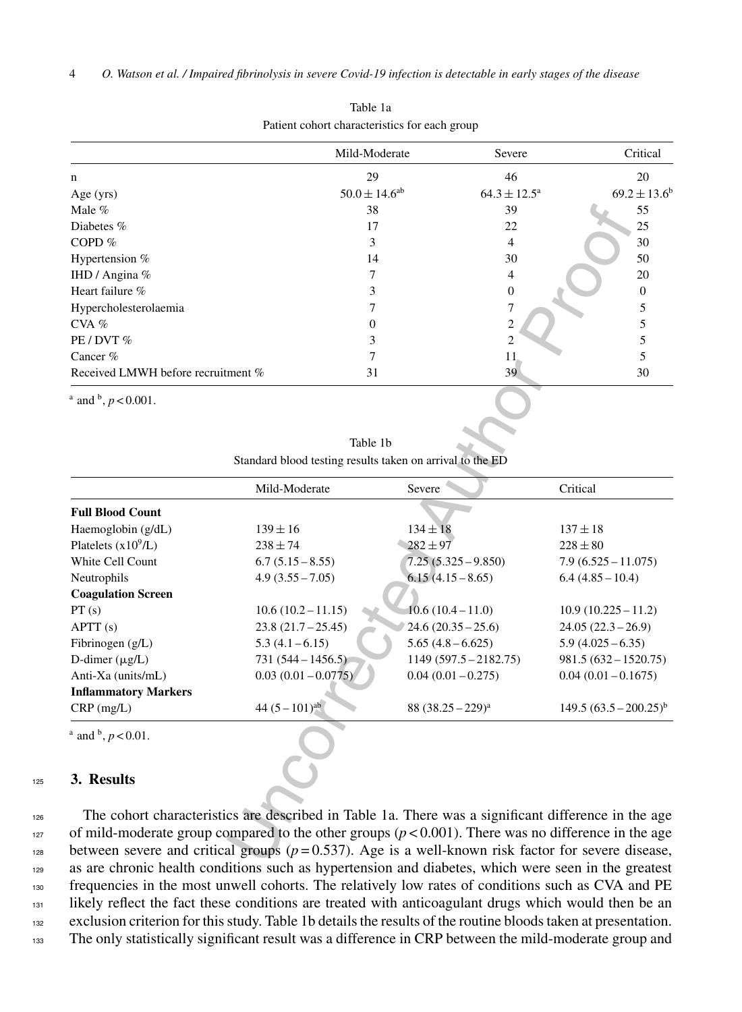|                                           | Mild-Moderate        | Severe                  | Critical          |
|-------------------------------------------|----------------------|-------------------------|-------------------|
| $\mathbf n$                               | 29                   | 46                      | 20                |
| Age $(yrs)$                               | $50.0 \pm 14.6^{ab}$ | $64.3 \pm 12.5^{\circ}$ | $69.2 \pm 13.6^b$ |
| Male $%$                                  | 38                   | 39                      | 55                |
| Diabetes $%$                              | 17                   | 22                      | 25                |
| COPD $%$                                  | 3                    | 4                       | 30                |
| Hypertension %                            | 14                   | 30                      | 50                |
| IHD / Angina %                            |                      | 4                       | 20                |
| Heart failure %                           |                      | $\theta$                | $\Omega$          |
| Hypercholesterolaemia                     |                      | $\overline{7}$          |                   |
| $CVA$ %                                   | 0                    | 2                       |                   |
| $PE / DVT$ %                              |                      | $\mathfrak{D}$          |                   |
| Cancer $%$                                |                      | 11                      |                   |
| Received LMWH before recruitment %        | 31                   | 39                      | 30                |
| $^{\rm a}$ and $^{\rm b}$ , $p < 0.001$ . |                      |                         |                   |

Table 1a Patient cohort characteristics for each group

Table 1b Standard blood testing results taken on arrival to the ED

| Male %                                        | 38                                                                                                      | 39                      | 55                          |
|-----------------------------------------------|---------------------------------------------------------------------------------------------------------|-------------------------|-----------------------------|
| Diabetes %                                    | 17                                                                                                      | 22                      | 25                          |
| COPD %                                        | 3                                                                                                       | 4                       | 30                          |
| Hypertension %                                | 14                                                                                                      | 30                      | 50                          |
| IHD / Angina %                                | $\tau$                                                                                                  | $\overline{4}$          | 20                          |
| Heart failure %                               | 3                                                                                                       | $\boldsymbol{0}$        | $\boldsymbol{0}$            |
| Hypercholesterolaemia                         | $\tau$                                                                                                  | 7                       | 5                           |
| $CVA$ %                                       | $\overline{0}$                                                                                          | $\overline{2}$          | 5                           |
| PE / DVT %                                    | 3                                                                                                       | $\mathbf{2}$            | $\sqrt{5}$                  |
| Cancer $%$                                    | 7                                                                                                       | 11                      | 5                           |
| Received LMWH before recruitment %            | 31                                                                                                      | 39                      | 30                          |
| <sup>a</sup> and <sup>b</sup> , $p < 0.001$ . |                                                                                                         |                         |                             |
|                                               | Table 1b                                                                                                |                         |                             |
|                                               | Standard blood testing results taken on arrival to the ED                                               |                         |                             |
|                                               |                                                                                                         |                         |                             |
|                                               | Mild-Moderate                                                                                           | Severe                  | Critical                    |
| <b>Full Blood Count</b>                       |                                                                                                         |                         |                             |
| Haemoglobin (g/dL)                            | $139 \pm 16$                                                                                            | $134 \pm 18$            | $137 \pm 18$                |
| Platelets $(x10^9/L)$                         | $238 \pm 74$                                                                                            | $282 \pm 97$            | $228\pm80$                  |
| White Cell Count                              | $6.7(5.15-8.55)$                                                                                        | $7.25(5.325 - 9.850)$   | $7.9(6.525 - 11.075)$       |
| Neutrophils                                   | $4.9(3.55 - 7.05)$                                                                                      | $6.15(4.15-8.65)$       | $6.4(4.85-10.4)$            |
| <b>Coagulation Screen</b>                     |                                                                                                         |                         |                             |
| PT(s)                                         | $10.6(10.2 - 11.15)$                                                                                    | $10.6(10.4-11.0)$       | $10.9(10.225 - 11.2)$       |
| APTT (s)                                      | $23.8(21.7 - 25.45)$                                                                                    | $24.6(20.35 - 25.6)$    | $24.05(22.3-26.9)$          |
| Fibrinogen (g/L)                              | $5.3(4.1 - 6.15)$                                                                                       | $5.65(4.8 - 6.625)$     | $5.9(4.025 - 6.35)$         |
| D-dimer $(\mu g/L)$                           | $731(544 - 1456.5)$                                                                                     | $1149(597.5 - 2182.75)$ | $981.5(632 - 1520.75)$      |
| Anti-Xa (units/mL)                            | $0.03(0.01 - 0.0775)$                                                                                   | $0.04(0.01 - 0.275)$    | $0.04(0.01 - 0.1675)$       |
| <b>Inflammatory Markers</b>                   |                                                                                                         |                         |                             |
| $CRP$ (mg/L)                                  | 44 $(5-101)$ <sup>ab</sup>                                                                              | 88 $(38.25 - 229)^a$    | $149.5 (63.5 - 200.25)^{b}$ |
| $^{\rm a}$ and $^{\rm b}$ , $p < 0.01$ .      |                                                                                                         |                         |                             |
| 3. Results                                    |                                                                                                         |                         |                             |
|                                               |                                                                                                         |                         |                             |
|                                               | The cohort characteristics are described in Table 1a. There was a significant difference in the age     |                         |                             |
|                                               | of mild-moderate group compared to the other groups $(p < 0.001)$ . There was no difference in the age  |                         |                             |
|                                               | between severe and critical groups ( $p = 0.537$ ). Age is a well-known risk factor for severe disease, |                         |                             |
|                                               |                                                                                                         |                         |                             |

#### <sup>125</sup> **3. Results**

 The cohort characteristics are described in Table 1a. There was a significant difference in the age 127 of mild-moderate group compared to the other groups  $(p < 0.001)$ . There was no difference in the age between severe and critical groups  $(p=0.537)$ . Age is a well-known risk factor for severe disease, 129 as are chronic health conditions such as hypertension and diabetes, which were seen in the greatest frequencies in the most unwell cohorts. The relatively low rates of conditions such as CVA and PE likely reflect the fact these conditions are treated with anticoagulant drugs which would then be an exclusion criterion for this study. Table 1b details the results of the routine bloods taken at presentation. The only statistically significant result was a difference in CRP between the mild-moderate group and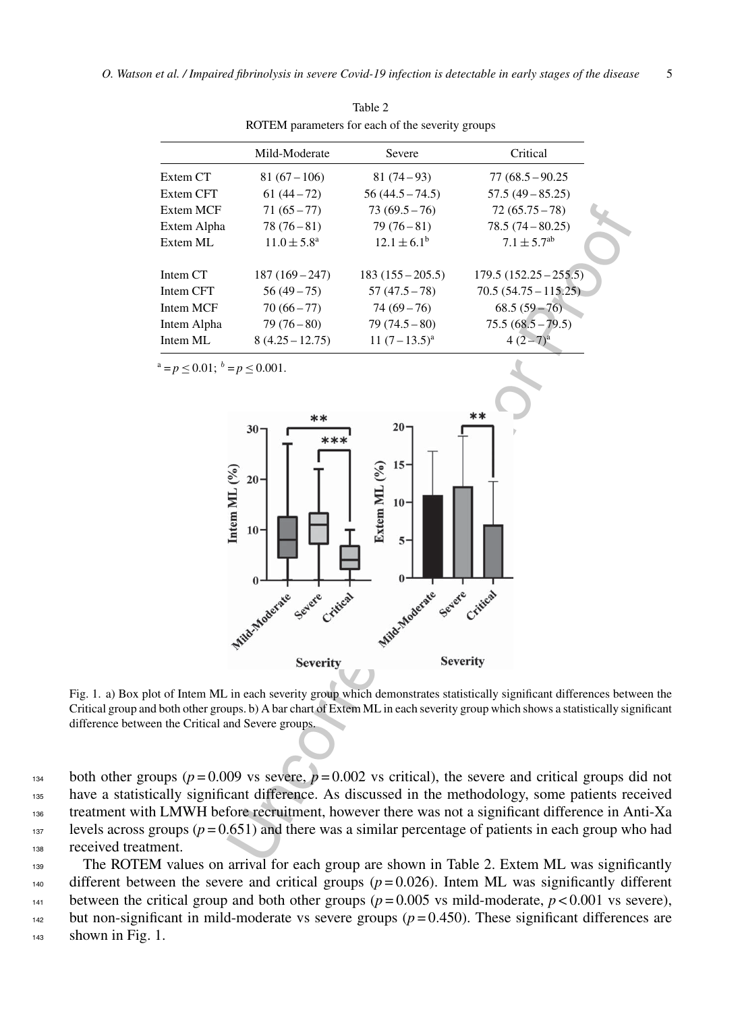| $\mathbf{r}$ . $\mathbf{r}$ and $\mathbf{r}$ are not become the second $\mathbf{r}$ and $\mathbf{r}$ are $\mathbf{r}$ |                        |                        |                             |  |  |
|-----------------------------------------------------------------------------------------------------------------------|------------------------|------------------------|-----------------------------|--|--|
|                                                                                                                       | Mild-Moderate          | Severe                 | Critical                    |  |  |
| Extem CT                                                                                                              | $81(67-106)$           | $81(74-93)$            | $77(68.5 - 90.25)$          |  |  |
| Extem CFT                                                                                                             | $61(44-72)$            | $56(44.5 - 74.5)$      | $57.5(49 - 85.25)$          |  |  |
| Extem MCF                                                                                                             | $71(65 - 77)$          | $73(69.5-76)$          | $72(65.75 - 78)$            |  |  |
| Extem Alpha                                                                                                           | $78(76-81)$            | $79(76-81)$            | $78.5(74 - 80.25)$          |  |  |
| Extem ML                                                                                                              | $11.0 \pm 5.8^{\circ}$ | $12.1 \pm 6.1^{\rm b}$ | $7.1 \pm 5.7$ <sup>ab</sup> |  |  |
| Intem CT                                                                                                              | $187(169-247)$         | $183(155-205.5)$       | $179.5(152.25-255.5)$       |  |  |
| Intem CFT                                                                                                             | $56(49-75)$            | $57(47.5 - 78)$        | $70.5(54.75 - 115.25)$      |  |  |
| Intem MCF                                                                                                             | $70(66 - 77)$          | $74(69-76)$            | $68.5(59-76)$               |  |  |
| Intem Alpha                                                                                                           | $79(76-80)$            | $79(74.5-80)$          | $75.5(68.5 - 79.5)$         |  |  |
| Intem ML                                                                                                              | $8(4.25 - 12.75)$      | $11 (7 - 13.5)^a$      | $4(2-7)^{a}$                |  |  |
|                                                                                                                       |                        |                        |                             |  |  |

Table 2 ROTEM parameters for each of the severity groups

 $a = p < 0.01$ ;  $b = p < 0.001$ .



Fig. 1. a) Box plot of Intem ML in each severity group which demonstrates statistically significant differences between the Critical group and both other groups. b) A bar chart of Extem ML in each severity group which shows a statistically significant difference between the Critical and Severe groups.

134 both other groups ( $p = 0.009$  vs severe,  $p = 0.002$  vs critical), the severe and critical groups did not <sup>135</sup> have a statistically significant difference. As discussed in the methodology, some patients received <sup>136</sup> treatment with LMWH before recruitment, however there was not a significant difference in Anti-Xa 137 levels across groups  $(p = 0.651)$  and there was a similar percentage of patients in each group who had <sup>138</sup> received treatment.

<sup>139</sup> The ROTEM values on arrival for each group are shown in Table 2. Extem ML was significantly  $_{140}$  different between the severe and critical groups ( $p = 0.026$ ). Intem ML was significantly different 141 between the critical group and both other groups ( $p = 0.005$  vs mild-moderate,  $p < 0.001$  vs severe), <sup>142</sup> but non-significant in mild-moderate vs severe groups  $(p=0.450)$ . These significant differences are  $143$  shown in Fig. 1.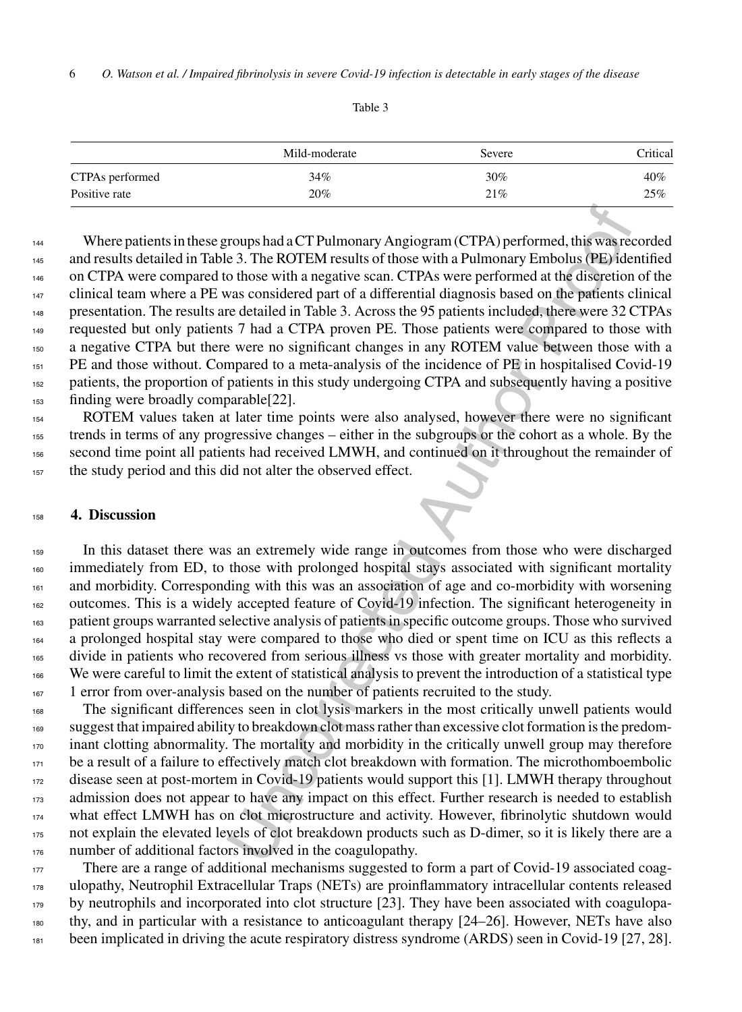Table 3

|                 | Mild-moderate | Severe | Critical |
|-----------------|---------------|--------|----------|
| CTPAs performed | 34%           | $30\%$ | 40%      |
| Positive rate   | 20%           | 21%    | 25%      |

rougs had aCT Pulmonary Angiogram (CTPA) performed, this was re 3. The ROTEM results of those with a Pulmonary Embolus (943) de o those with a negative scan. CTPAs were performed at the dissertion of a considered part of a Where patients in these groups had a CT Pulmonary Angiogram (CTPA) performed, this was recorded and results detailed in Table 3. The ROTEM results of those with a Pulmonary Embolus (PE) identified on CTPA were compared to those with a negative scan. CTPAs were performed at the discretion of the clinical team where a PE was considered part of a differential diagnosis based on the patients clinical presentation. The results are detailed in Table 3. Across the 95 patients included, there were 32 CTPAs requested but only patients 7 had a CTPA proven PE. Those patients were compared to those with a negative CTPA but there were no significant changes in any ROTEM value between those with a PE and those without. Compared to a meta-analysis of the incidence of PE in hospitalised Covid-19 patients, the proportion of patients in this study undergoing CTPA and subsequently having a positive finding were broadly comparable[22].

 ROTEM values taken at later time points were also analysed, however there were no significant trends in terms of any progressive changes – either in the subgroups or the cohort as a whole. By the second time point all patients had received LMWH, and continued on it throughout the remainder of the study period and this did not alter the observed effect.

## **4. Discussion**

 In this dataset there was an extremely wide range in outcomes from those who were discharged <sup>160</sup> immediately from ED, to those with prolonged hospital stays associated with significant mortality and morbidity. Corresponding with this was an association of age and co-morbidity with worsening 162 outcomes. This is a widely accepted feature of Covid-19 infection. The significant heterogeneity in patient groups warranted selective analysis of patients in specific outcome groups. Those who survived a prolonged hospital stay were compared to those who died or spent time on ICU as this reflects a 165 divide in patients who recovered from serious illness vs those with greater mortality and morbidity. We were careful to limit the extent of statistical analysis to prevent the introduction of a statistical type <sup>167</sup> 167 1 error from over-analysis based on the number of patients recruited to the study.

 The significant differences seen in clot lysis markers in the most critically unwell patients would suggest that impaired ability to breakdown clot mass rather than excessive clot formation is the predom- inant clotting abnormality. The mortality and morbidity in the critically unwell group may therefore <sup>171</sup> be a result of a failure to effectively match clot breakdown with formation. The microthomboembolic disease seen at post-mortem in Covid-19 patients would support this [1]. LMWH therapy throughout <sup>173</sup> admission does not appear to have any impact on this effect. Further research is needed to establish 174 what effect LMWH has on clot microstructure and activity. However, fibrinolytic shutdown would not explain the elevated levels of clot breakdown products such as D-dimer, so it is likely there are a 176 number of additional factors involved in the coagulopathy.

177 There are a range of additional mechanisms suggested to form a part of Covid-19 associated coag- ulopathy, Neutrophil Extracellular Traps (NETs) are proinflammatory intracellular contents released <sup>179</sup> by neutrophils and incorporated into clot structure [23]. They have been associated with coagulopa- thy, and in particular with a resistance to anticoagulant therapy [24–26]. However, NETs have also 181 been implicated in driving the acute respiratory distress syndrome (ARDS) seen in Covid-19 [27, 28].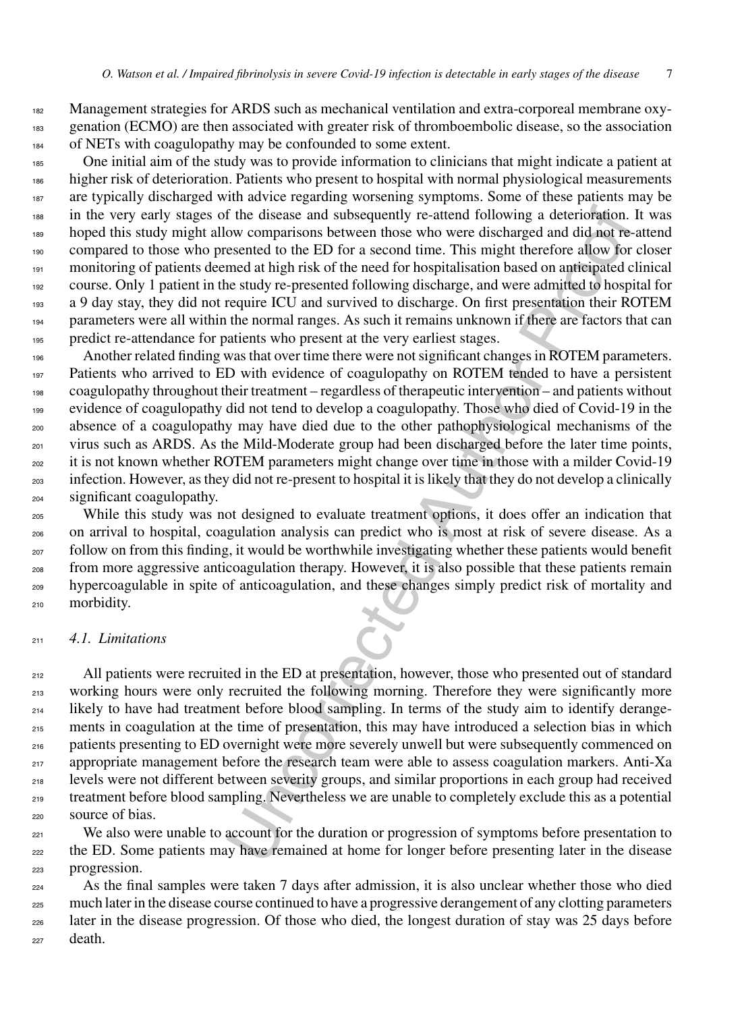182 Management strategies for ARDS such as mechanical ventilation and extra-corporeal membrane oxy- genation (ECMO) are then associated with greater risk of thromboembolic disease, so the association of NETs with coagulopathy may be confounded to some extent.

 One initial aim of the study was to provide information to clinicians that might indicate a patient at higher risk of deterioration. Patients who present to hospital with normal physiological measurements <sup>187</sup> are typically discharged with advice regarding worsening symptoms. Some of these patients may be in the very early stages of the disease and subsequently re-attend following a deterioration. It was hoped this study might allow comparisons between those who were discharged and did not re-attend compared to those who presented to the ED for a second time. This might therefore allow for closer monitoring of patients deemed at high risk of the need for hospitalisation based on anticipated clinical course. Only 1 patient in the study re-presented following discharge, and were admitted to hospital for a 9 day stay, they did not require ICU and survived to discharge. On first presentation their ROTEM parameters were all within the normal ranges. As such it remains unknown if there are factors that can predict re-attendance for patients who present at the very earliest stages.

196 Another related finding was that over time there were not significant changes in ROTEM parameters. 197 Patients who arrived to ED with evidence of coagulopathy on ROTEM tended to have a persistent coagulopathy throughout their treatment – regardless of therapeutic intervention – and patients without evidence of coagulopathy did not tend to develop a coagulopathy. Those who died of Covid-19 in the absence of a coagulopathy may have died due to the other pathophysiological mechanisms of the virus such as ARDS. As the Mild-Moderate group had been discharged before the later time points, <sub>202</sub> it is not known whether ROTEM parameters might change over time in those with a milder Covid-19 infection. However, as they did not re-present to hospital it is likely that they do not develop a clinically significant coagulopathy.

 While this study was not designed to evaluate treatment options, it does offer an indication that on arrival to hospital, coagulation analysis can predict who is most at risk of severe disease. As a follow on from this finding, it would be worthwhile investigating whether these patients would benefit from more aggressive anticoagulation therapy. However, it is also possible that these patients remain hypercoagulable in spite of anticoagulation, and these changes simply predict risk of mortality and morbidity.

#### *4.1. Limitations*

f the disease and subsequently re-attend following a deterioration.<br>
we comparison between those who were discharged and did ont Te-<br>
esented to the ED for a second time. This might therefore allow for<br>
med at high risk of <sup>212</sup> All patients were recruited in the ED at presentation, however, those who presented out of standard 213 working hours were only recruited the following morning. Therefore they were significantly more likely to have had treatment before blood sampling. In terms of the study aim to identify derange- ments in coagulation at the time of presentation, this may have introduced a selection bias in which patients presenting to ED overnight were more severely unwell but were subsequently commenced on appropriate management before the research team were able to assess coagulation markers. Anti-Xa levels were not different between severity groups, and similar proportions in each group had received treatment before blood sampling. Nevertheless we are unable to completely exclude this as a potential source of bias.

<sup>221</sup> We also were unable to account for the duration or progression of symptoms before presentation to the ED. Some patients may have remained at home for longer before presenting later in the disease progression.

 As the final samples were taken 7 days after admission, it is also unclear whether those who died much later in the disease course continued to have a progressive derangement of any clotting parameters later in the disease progression. Of those who died, the longest duration of stay was 25 days before death.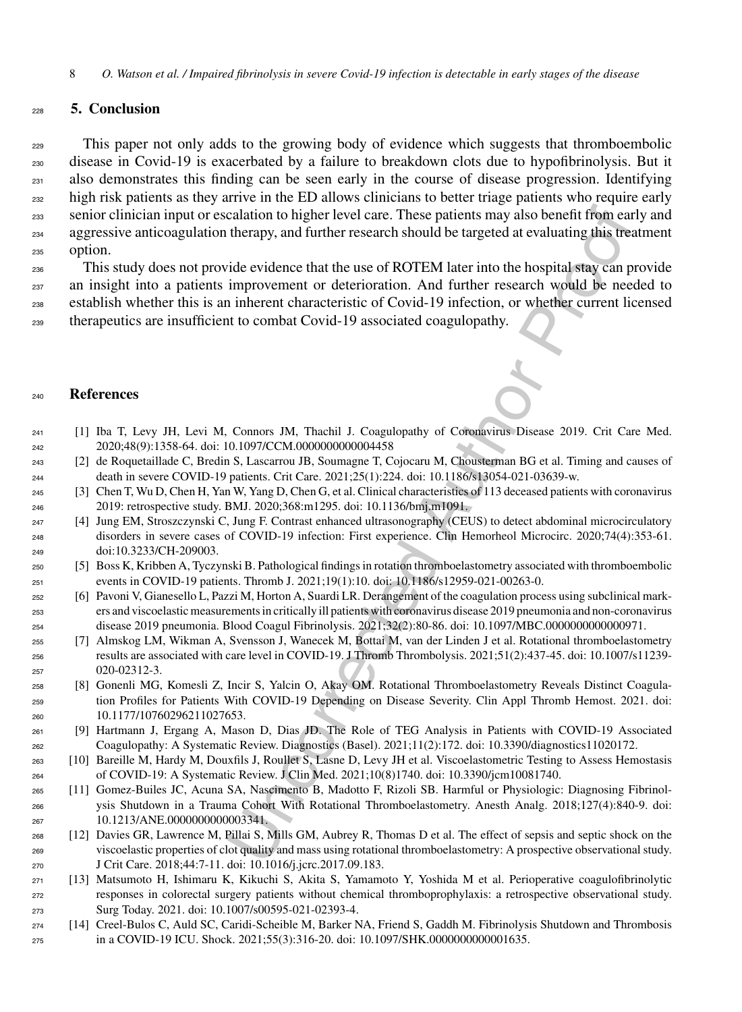# **5. Conclusion**

<sub>229</sub> This paper not only adds to the growing body of evidence which suggests that thromboembolic disease in Covid-19 is exacerbated by a failure to breakdown clots due to hypofibrinolysis. But it also demonstrates this finding can be seen early in the course of disease progression. Identifying <sub>232</sub> high risk patients as they arrive in the ED allows clinicians to better triage patients who require early senior clinician input or escalation to higher level care. These patients may also benefit from early and aggressive anticoagulation therapy, and further research should be targeted at evaluating this treatment option.

calation to higher level care. These patients may also benefit from car<br>therapy, and further research should be targeted at evaluating this treated<br>vide evidence that the use of ROTEM later into the hospital stay can prov This study does not provide evidence that the use of ROTEM later into the hospital stay can provide <sub>237</sub> an insight into a patients improvement or deterioration. And further research would be needed to establish whether this is an inherent characteristic of Covid-19 infection, or whether current licensed therapeutics are insufficient to combat Covid-19 associated coagulopathy.

### **References**

- [1] Iba T, Levy JH, Levi M, Connors JM, Thachil J. Coagulopathy of Coronavirus Disease 2019. Crit Care Med. 2020;48(9):1358-64. doi: 10.1097/CCM.0000000000004458
- [2] de Roquetaillade C, Bredin S, Lascarrou JB, Soumagne T, Cojocaru M, Chousterman BG et al. Timing and causes of death in severe COVID-19 patients. Crit Care. 2021;25(1):224. doi: 10.1186/s13054-021-03639-w.
- [3] Chen T, Wu D, Chen H, Yan W, Yang D, Chen G, et al. Clinical characteristics of 113 deceased patients with coronavirus 2019: retrospective study. BMJ. 2020;368:m1295. doi: 10.1136/bmj.m1091.
- [4] Jung EM, Stroszczynski C, Jung F. Contrast enhanced ultrasonography (CEUS) to detect abdominal microcirculatory disorders in severe cases of COVID-19 infection: First experience. Clin Hemorheol Microcirc. 2020;74(4):353-61. doi:10.3233/CH-209003.
- [5] Boss K, Kribben A, Tyczynski B. Pathological findings in rotation thromboelastometry associated with thromboembolic events in COVID-19 patients. Thromb J. 2021;19(1):10. doi: 10.1186/s12959-021-00263-0.
- [6] Pavoni V, Gianesello L, Pazzi M, Horton A, Suardi LR. Derangement of the coagulation process using subclinical mark- ers and viscoelastic measurements in critically ill patients with coronavirus disease 2019 pneumonia and non-coronavirus disease 2019 pneumonia. Blood Coagul Fibrinolysis. 2021;32(2):80-86. doi: 10.1097/MBC.0000000000000971.
- [7] Almskog LM, Wikman A, Svensson J, Wanecek M, Bottai M, van der Linden J et al. Rotational thromboelastometry results are associated with care level in COVID-19. J Thromb Thrombolysis. 2021;51(2):437-45. doi: 10.1007/s11239- 020-02312-3.
- [8] Gonenli MG, Komesli Z, Incir S, Yalcin O, Akay OM. Rotational Thromboelastometry Reveals Distinct Coagula- tion Profiles for Patients With COVID-19 Depending on Disease Severity. Clin Appl Thromb Hemost. 2021. doi: 10.1177/10760296211027653.
- [9] Hartmann J, Ergang A, Mason D, Dias JD. The Role of TEG Analysis in Patients with COVID-19 Associated Coagulopathy: A Systematic Review. Diagnostics (Basel). 2021;11(2):172. doi: 10.3390/diagnostics11020172.
- [10] Bareille M, Hardy M, Douxfils J, Roullet S, Lasne D, Levy JH et al. Viscoelastometric Testing to Assess Hemostasis of COVID-19: A Systematic Review. J Clin Med. 2021;10(8)1740. doi: 10.3390/jcm10081740.
- [11] Gomez-Builes JC, Acuna SA, Nascimento B, Madotto F, Rizoli SB. Harmful or Physiologic: Diagnosing Fibrinol- ysis Shutdown in a Trauma Cohort With Rotational Thromboelastometry. Anesth Analg. 2018;127(4):840-9. doi: 10.1213/ANE.0000000000003341.
- [12] Davies GR, Lawrence M, Pillai S, Mills GM, Aubrey R, Thomas D et al. The effect of sepsis and septic shock on the viscoelastic properties of clot quality and mass using rotational thromboelastometry: A prospective observational study. J Crit Care. 2018;44:7-11. doi: 10.1016/j.jcrc.2017.09.183.
- [13] Matsumoto H, Ishimaru K, Kikuchi S, Akita S, Yamamoto Y, Yoshida M et al. Perioperative coagulofibrinolytic responses in colorectal surgery patients without chemical thromboprophylaxis: a retrospective observational study. Surg Today. 2021. doi: 10.1007/s00595-021-02393-4.
- [14] Creel-Bulos C, Auld SC, Caridi-Scheible M, Barker NA, Friend S, Gaddh M. Fibrinolysis Shutdown and Thrombosis in a COVID-19 ICU. Shock. 2021;55(3):316-20. doi: 10.1097/SHK.0000000000001635.